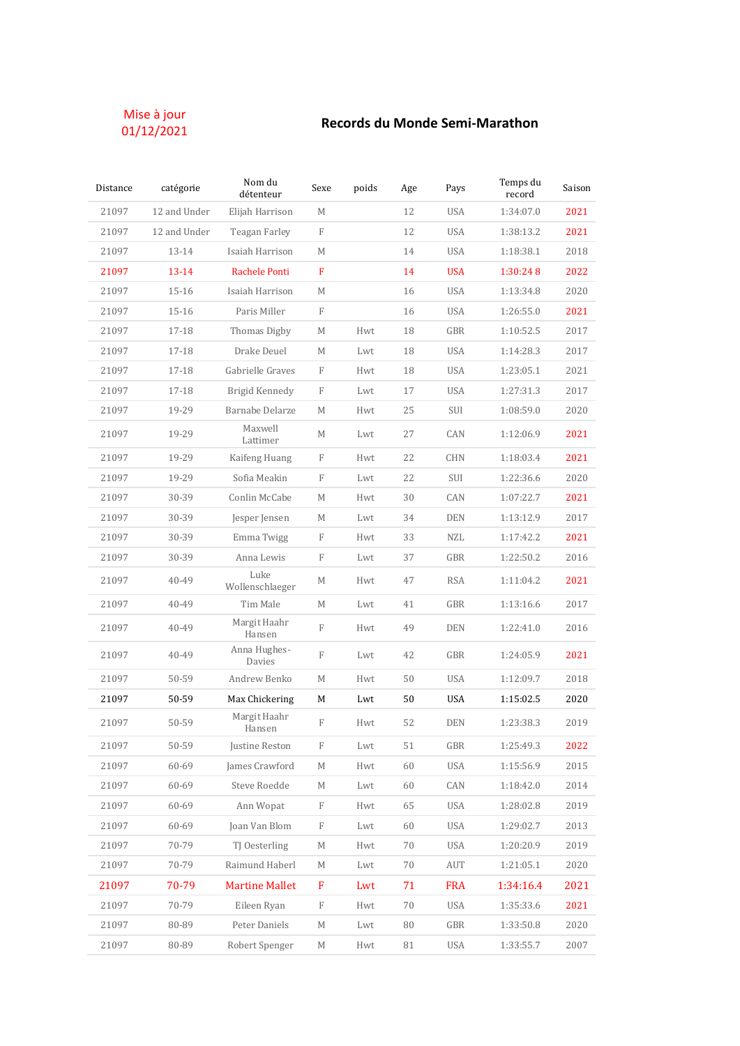## Mise à jour<br>01/12/2021

## 01/12/2021 **Records du Monde Semi-Marathon**

| Distance | catégorie    | Nom du<br>détenteur     | Sexe         | poids | Age | Pays       | Temps du<br>record | Saison |
|----------|--------------|-------------------------|--------------|-------|-----|------------|--------------------|--------|
| 21097    | 12 and Under | Elijah Harrison         | M            |       | 12  | <b>USA</b> | 1:34:07.0          | 2021   |
| 21097    | 12 and Under | Teagan Farley           | F            |       | 12  | <b>USA</b> | 1:38:13.2          | 2021   |
| 21097    | 13-14        | Isaiah Harrison         | M            |       | 14  | <b>USA</b> | 1:18:38.1          | 2018   |
| 21097    | $13 - 14$    | Rachele Ponti           | $\mathbf{F}$ |       | 14  | <b>USA</b> | 1:30:248           | 2022   |
| 21097    | $15 - 16$    | Isaiah Harrison         | M            |       | 16  | <b>USA</b> | 1:13:34.8          | 2020   |
| 21097    | $15 - 16$    | Paris Miller            | F            |       | 16  | <b>USA</b> | 1:26:55.0          | 2021   |
| 21097    | 17-18        | Thomas Digby            | М            | Hwt   | 18  | GBR        | 1:10:52.5          | 2017   |
| 21097    | 17-18        | Drake Deuel             | М            | Lwt   | 18  | <b>USA</b> | 1:14:28.3          | 2017   |
| 21097    | 17-18        | Gabrielle Graves        | F            | Hwt   | 18  | <b>USA</b> | 1:23:05.1          | 2021   |
| 21097    | 17-18        | Brigid Kennedy          | F            | Lwt   | 17  | <b>USA</b> | 1:27:31.3          | 2017   |
| 21097    | 19-29        | Barnabe Delarze         | М            | Hwt   | 25  | SUI        | 1:08:59.0          | 2020   |
| 21097    | 19-29        | Maxwell<br>Lattimer     | М            | Lwt   | 27  | CAN        | 1:12:06.9          | 2021   |
| 21097    | 19-29        | Kaifeng Huang           | F            | Hwt   | 22  | <b>CHN</b> | 1:18:03.4          | 2021   |
| 21097    | 19-29        | Sofia Meakin            | F            | Lwt   | 22  | SUI        | 1:22:36.6          | 2020   |
| 21097    | 30-39        | Conlin McCabe           | М            | Hwt   | 30  | CAN        | 1:07:22.7          | 2021   |
| 21097    | 30-39        | Jesper Jensen           | М            | Lwt   | 34  | <b>DEN</b> | 1:13:12.9          | 2017   |
| 21097    | 30-39        | Emma Twigg              | F            | Hwt   | 33  | <b>NZL</b> | 1:17:42.2          | 2021   |
| 21097    | 30-39        | Anna Lewis              | F            | Lwt   | 37  | GBR        | 1:22:50.2          | 2016   |
| 21097    | 40-49        | Luke<br>Wollenschlaeger | М            | Hwt   | 47  | <b>RSA</b> | 1:11:04.2          | 2021   |
| 21097    | 40-49        | Tim Male                | М            | Lwt   | 41  | GBR        | 1:13:16.6          | 2017   |
| 21097    | 40-49        | Margit Haahr<br>Hansen  | $\mathbf F$  | Hwt   | 49  | DEN        | 1:22:41.0          | 2016   |
| 21097    | 40-49        | Anna Hughes-<br>Davies  | F            | Lwt   | 42  | GBR        | 1:24:05.9          | 2021   |
| 21097    | 50-59        | Andrew Benko            | М            | Hwt   | 50  | <b>USA</b> | 1:12:09.7          | 2018   |
| 21097    | 50-59        | Max Chickering          | М            | Lwt   | 50  | <b>USA</b> | 1:15:02.5          | 2020   |
| 21097    | 50-59        | Margit Haahr<br>Hansen  | F            | Hwt   | 52  | <b>DEN</b> | 1:23:38.3          | 2019   |
| 21097    | 50-59        | Justine Reston          | F            | Lwt   | 51  | GBR        | 1:25:49.3          | 2022   |
| 21097    | 60-69        | James Crawford          | М            | Hwt   | 60  | <b>USA</b> | 1:15:56.9          | 2015   |
| 21097    | 60-69        | Steve Roedde            | М            | Lwt   | 60  | CAN        | 1:18:42.0          | 2014   |
| 21097    | 60-69        | Ann Wopat               | F            | Hwt   | 65  | <b>USA</b> | 1:28:02.8          | 2019   |
| 21097    | 60-69        | Joan Van Blom           | F            | Lwt   | 60  | <b>USA</b> | 1:29:02.7          | 2013   |
| 21097    | 70-79        | TJ Oesterling           | М            | Hwt   | 70  | <b>USA</b> | 1:20:20.9          | 2019   |
| 21097    | 70-79        | Raimund Haberl          | М            | Lwt   | 70  | AUT        | 1:21:05.1          | 2020   |
| 21097    | 70-79        | <b>Martine Mallet</b>   | F            | Lwt   | 71  | <b>FRA</b> | 1:34:16.4          | 2021   |
| 21097    | 70-79        | Eileen Ryan             | $\mathbf F$  | Hwt   | 70  | <b>USA</b> | 1:35:33.6          | 2021   |
| 21097    | 80-89        | Peter Daniels           | М            | Lwt   | 80  | GBR        | 1:33:50.8          | 2020   |
| 21097    | 80-89        | Robert Spenger          | М            | Hwt   | 81  | USA        | 1:33:55.7          | 2007   |